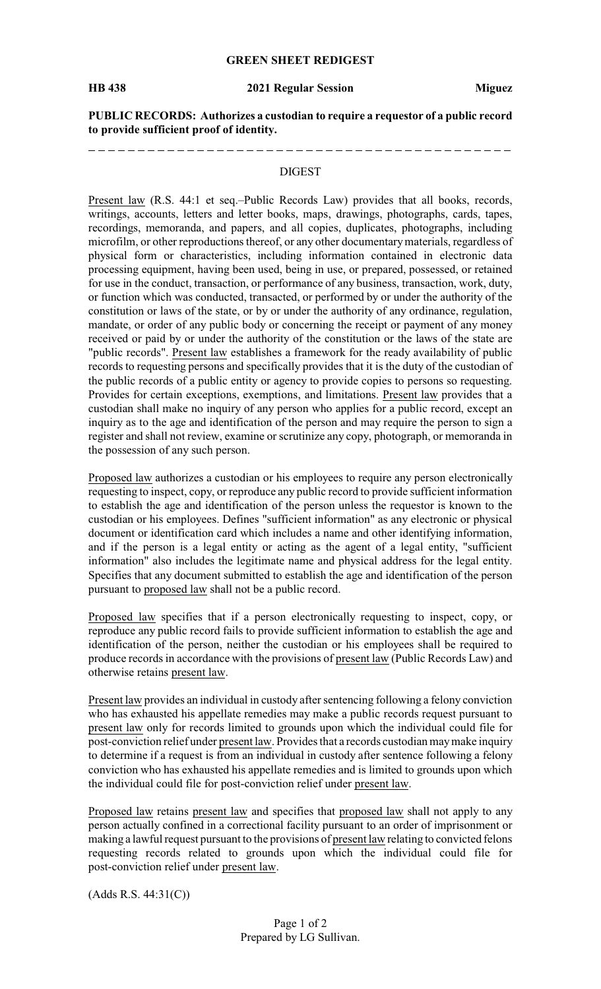## **GREEN SHEET REDIGEST**

\_\_\_\_\_\_\_\_\_\_\_\_\_\_\_\_\_\_\_

#### **HB 438 2021 Regular Session Miguez**

-------------------

**PUBLIC RECORDS: Authorizes a custodian to require a requestor of a public record to provide sufficient proof of identity.**

### DIGEST

Present law (R.S. 44:1 et seq.–Public Records Law) provides that all books, records, writings, accounts, letters and letter books, maps, drawings, photographs, cards, tapes, recordings, memoranda, and papers, and all copies, duplicates, photographs, including microfilm, or other reproductions thereof, or any other documentarymaterials, regardless of physical form or characteristics, including information contained in electronic data processing equipment, having been used, being in use, or prepared, possessed, or retained for use in the conduct, transaction, or performance of any business, transaction, work, duty, or function which was conducted, transacted, or performed by or under the authority of the constitution or laws of the state, or by or under the authority of any ordinance, regulation, mandate, or order of any public body or concerning the receipt or payment of any money received or paid by or under the authority of the constitution or the laws of the state are "public records". Present law establishes a framework for the ready availability of public records to requesting persons and specifically provides that it is the duty of the custodian of the public records of a public entity or agency to provide copies to persons so requesting. Provides for certain exceptions, exemptions, and limitations. Present law provides that a custodian shall make no inquiry of any person who applies for a public record, except an inquiry as to the age and identification of the person and may require the person to sign a register and shall not review, examine or scrutinize any copy, photograph, or memoranda in the possession of any such person.

Proposed law authorizes a custodian or his employees to require any person electronically requesting to inspect, copy, or reproduce any public record to provide sufficient information to establish the age and identification of the person unless the requestor is known to the custodian or his employees. Defines "sufficient information" as any electronic or physical document or identification card which includes a name and other identifying information, and if the person is a legal entity or acting as the agent of a legal entity, "sufficient information" also includes the legitimate name and physical address for the legal entity. Specifies that any document submitted to establish the age and identification of the person pursuant to proposed law shall not be a public record.

Proposed law specifies that if a person electronically requesting to inspect, copy, or reproduce any public record fails to provide sufficient information to establish the age and identification of the person, neither the custodian or his employees shall be required to produce records in accordance with the provisions of present law (Public Records Law) and otherwise retains present law.

Present law provides an individual in custody after sentencing following a felony conviction who has exhausted his appellate remedies may make a public records request pursuant to present law only for records limited to grounds upon which the individual could file for post-conviction relief under present law. Provides that a records custodian maymake inquiry to determine if a request is from an individual in custody after sentence following a felony conviction who has exhausted his appellate remedies and is limited to grounds upon which the individual could file for post-conviction relief under present law.

Proposed law retains present law and specifies that proposed law shall not apply to any person actually confined in a correctional facility pursuant to an order of imprisonment or making a lawful request pursuant to the provisions of present law relating to convicted felons requesting records related to grounds upon which the individual could file for post-conviction relief under present law.

(Adds R.S. 44:31(C))